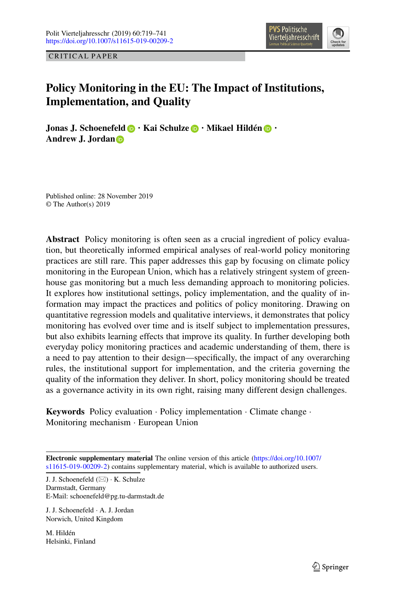



# **Policy Monitoring in the EU: The Impact of Institutions, Implementation, and Quality**

**Jonas J. Schoenefeld · Kai Schulze · Mikael Hildén · Andrew J. Jordan**

Published online: 28 November 2019 © The Author(s) 2019

**Abstract** Policy monitoring is often seen as a crucial ingredient of policy evaluation, but theoretically informed empirical analyses of real-world policy monitoring practices are still rare. This paper addresses this gap by focusing on climate policy monitoring in the European Union, which has a relatively stringent system of greenhouse gas monitoring but a much less demanding approach to monitoring policies. It explores how institutional settings, policy implementation, and the quality of information may impact the practices and politics of policy monitoring. Drawing on quantitative regression models and qualitative interviews, it demonstrates that policy monitoring has evolved over time and is itself subject to implementation pressures, but also exhibits learning effects that improve its quality. In further developing both everyday policy monitoring practices and academic understanding of them, there is a need to pay attention to their design—specifically, the impact of any overarching rules, the institutional support for implementation, and the criteria governing the quality of the information they deliver. In short, policy monitoring should be treated as a governance activity in its own right, raising many different design challenges.

**Keywords** Policy evaluation · Policy implementation · Climate change · Monitoring mechanism · European Union

- J. J. Schoenefeld · A. J. Jordan Norwich, United Kingdom
- M. Hildén Helsinki, Finland

**Electronic supplementary material** The online version of this article [\(https://doi.org/10.1007/](https://doi.org/10.1007/s11615-019-00209-2) [s11615-019-00209-2\)](https://doi.org/10.1007/s11615-019-00209-2) contains supplementary material, which is available to authorized users.

J. J. Schoenefeld ( $\boxtimes$ ) · K. Schulze Darmstadt, Germany E-Mail: schoenefeld@pg.tu-darmstadt.de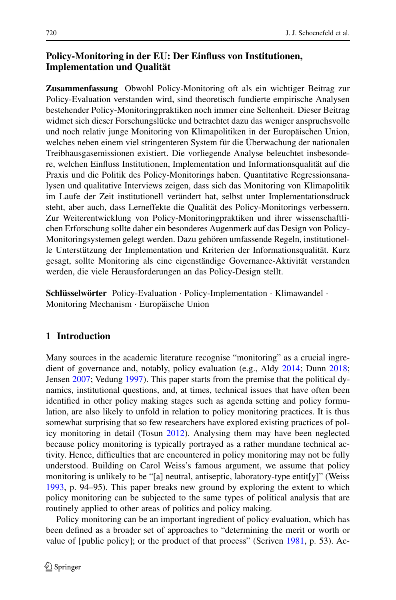# **Policy-Monitoring in der EU: Der Einfluss von Institutionen, Implementation und Qualität**

**Zusammenfassung** Obwohl Policy-Monitoring oft als ein wichtiger Beitrag zur Policy-Evaluation verstanden wird, sind theoretisch fundierte empirische Analysen bestehender Policy-Monitoringpraktiken noch immer eine Seltenheit. Dieser Beitrag widmet sich dieser Forschungslücke und betrachtet dazu das weniger anspruchsvolle und noch relativ junge Monitoring von Klimapolitiken in der Europäischen Union, welches neben einem viel stringenteren System für die Überwachung der nationalen Treibhausgasemissionen existiert. Die vorliegende Analyse beleuchtet insbesondere, welchen Einfluss Institutionen, Implementation und Informationsqualität auf die Praxis und die Politik des Policy-Monitorings haben. Quantitative Regressionsanalysen und qualitative Interviews zeigen, dass sich das Monitoring von Klimapolitik im Laufe der Zeit institutionell verändert hat, selbst unter Implementationsdruck steht, aber auch, dass Lerneffekte die Qualität des Policy-Monitorings verbessern. Zur Weiterentwicklung von Policy-Monitoringpraktiken und ihrer wissenschaftlichen Erforschung sollte daher ein besonderes Augenmerk auf das Design von Policy-Monitoringsystemen gelegt werden. Dazu gehören umfassende Regeln, institutionelle Unterstützung der Implementation und Kriterien der Informationsqualität. Kurz gesagt, sollte Monitoring als eine eigenständige Governance-Aktivität verstanden werden, die viele Herausforderungen an das Policy-Design stellt.

**Schlüsselwörter** Policy-Evaluation · Policy-Implementation · Klimawandel · Monitoring Mechanism · Europäische Union

# **1 Introduction**

Many sources in the academic literature recognise "monitoring" as a crucial ingredient of governance and, notably, policy evaluation (e.g., Aldy [2014;](#page-20-0) Dunn [2018;](#page-20-1) Jensen [2007;](#page-20-2) Vedung [1997\)](#page-21-0). This paper starts from the premise that the political dynamics, institutional questions, and, at times, technical issues that have often been identified in other policy making stages such as agenda setting and policy formulation, are also likely to unfold in relation to policy monitoring practices. It is thus somewhat surprising that so few researchers have explored existing practices of policy monitoring in detail (Tosun [2012\)](#page-21-1). Analysing them may have been neglected because policy monitoring is typically portrayed as a rather mundane technical activity. Hence, difficulties that are encountered in policy monitoring may not be fully understood. Building on Carol Weiss's famous argument, we assume that policy monitoring is unlikely to be "[a] neutral, antiseptic, laboratory-type entit[y]" (Weiss [1993,](#page-22-0) p. 94–95). This paper breaks new ground by exploring the extent to which policy monitoring can be subjected to the same types of political analysis that are routinely applied to other areas of politics and policy making.

Policy monitoring can be an important ingredient of policy evaluation, which has been defined as a broader set of approaches to "determining the merit or worth or value of [public policy]; or the product of that process" (Scriven [1981,](#page-21-2) p. 53). Ac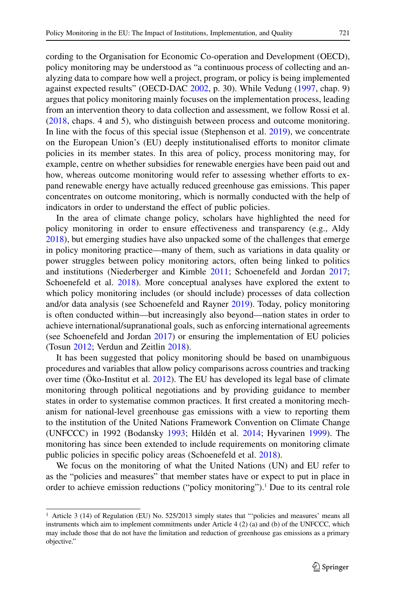cording to the Organisation for Economic Co-operation and Development (OECD), policy monitoring may be understood as "a continuous process of collecting and analyzing data to compare how well a project, program, or policy is being implemented against expected results" (OECD-DAC [2002,](#page-21-3) p. 30). While Vedung [\(1997,](#page-21-0) chap. 9) argues that policy monitoring mainly focuses on the implementation process, leading from an intervention theory to data collection and assessment, we follow Rossi et al. [\(2018,](#page-21-4) chaps. 4 and 5), who distinguish between process and outcome monitoring. In line with the focus of this special issue (Stephenson et al. [2019\)](#page-21-5), we concentrate on the European Union's (EU) deeply institutionalised efforts to monitor climate policies in its member states. In this area of policy, process monitoring may, for example, centre on whether subsidies for renewable energies have been paid out and how, whereas outcome monitoring would refer to assessing whether efforts to expand renewable energy have actually reduced greenhouse gas emissions. This paper concentrates on outcome monitoring, which is normally conducted with the help of indicators in order to understand the effect of public policies.

In the area of climate change policy, scholars have highlighted the need for policy monitoring in order to ensure effectiveness and transparency (e.g., Aldy [2018\)](#page-20-3), but emerging studies have also unpacked some of the challenges that emerge in policy monitoring practice—many of them, such as variations in data quality or power struggles between policy monitoring actors, often being linked to politics and institutions (Niederberger and Kimble [2011;](#page-21-6) Schoenefeld and Jordan [2017;](#page-21-7) Schoenefeld et al. [2018\)](#page-21-8). More conceptual analyses have explored the extent to which policy monitoring includes (or should include) processes of data collection and/or data analysis (see Schoenefeld and Rayner [2019\)](#page-21-9). Today, policy monitoring is often conducted within—but increasingly also beyond—nation states in order to achieve international/supranational goals, such as enforcing international agreements (see Schoenefeld and Jordan [2017\)](#page-21-7) or ensuring the implementation of EU policies (Tosun [2012;](#page-21-1) Verdun and Zeitlin [2018\)](#page-21-10).

It has been suggested that policy monitoring should be based on unambiguous procedures and variables that allow policy comparisons across countries and tracking over time (Öko-Institut et al. [2012\)](#page-21-11). The EU has developed its legal base of climate monitoring through political negotiations and by providing guidance to member states in order to systematise common practices. It first created a monitoring mechanism for national-level greenhouse gas emissions with a view to reporting them to the institution of the United Nations Framework Convention on Climate Change (UNFCCC) in 1992 (Bodansky [1993;](#page-20-4) Hildén et al. [2014;](#page-20-5) Hyvarinen [1999\)](#page-20-6). The monitoring has since been extended to include requirements on monitoring climate public policies in specific policy areas (Schoenefeld et al. [2018\)](#page-21-8).

We focus on the monitoring of what the United Nations (UN) and EU refer to as the "policies and measures" that member states have or expect to put in place in order to achieve emission reductions ("policy monitoring")[.1](#page-2-0) Due to its central role

<span id="page-2-0"></span><sup>1</sup> Article 3 (14) of Regulation (EU) No. 525/2013 simply states that "'policies and measures' means all instruments which aim to implement commitments under Article 4 (2) (a) and (b) of the UNFCCC, which may include those that do not have the limitation and reduction of greenhouse gas emissions as a primary objective."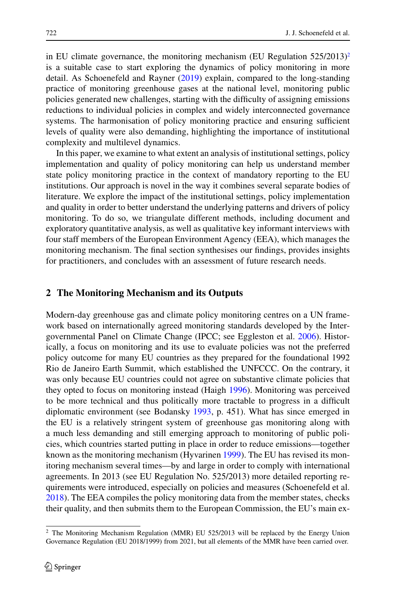in EU climate governance, the monitoring mechanism (EU Regulation 525/2013)<sup>2</sup> is a suitable case to start exploring the dynamics of policy monitoring in more detail. As Schoenefeld and Rayner [\(2019\)](#page-21-9) explain, compared to the long-standing practice of monitoring greenhouse gases at the national level, monitoring public policies generated new challenges, starting with the difficulty of assigning emissions reductions to individual policies in complex and widely interconnected governance systems. The harmonisation of policy monitoring practice and ensuring sufficient levels of quality were also demanding, highlighting the importance of institutional complexity and multilevel dynamics.

In this paper, we examine to what extent an analysis of institutional settings, policy implementation and quality of policy monitoring can help us understand member state policy monitoring practice in the context of mandatory reporting to the EU institutions. Our approach is novel in the way it combines several separate bodies of literature. We explore the impact of the institutional settings, policy implementation and quality in order to better understand the underlying patterns and drivers of policy monitoring. To do so, we triangulate different methods, including document and exploratory quantitative analysis, as well as qualitative key informant interviews with four staff members of the European Environment Agency (EEA), which manages the monitoring mechanism. The final section synthesises our findings, provides insights for practitioners, and concludes with an assessment of future research needs.

#### **2 The Monitoring Mechanism and its Outputs**

Modern-day greenhouse gas and climate policy monitoring centres on a UN framework based on internationally agreed monitoring standards developed by the Intergovernmental Panel on Climate Change (IPCC; see Eggleston et al. [2006\)](#page-20-7). Historically, a focus on monitoring and its use to evaluate policies was not the preferred policy outcome for many EU countries as they prepared for the foundational 1992 Rio de Janeiro Earth Summit, which established the UNFCCC. On the contrary, it was only because EU countries could not agree on substantive climate policies that they opted to focus on monitoring instead (Haigh [1996\)](#page-20-8). Monitoring was perceived to be more technical and thus politically more tractable to progress in a difficult diplomatic environment (see Bodansky [1993,](#page-20-4) p. 451). What has since emerged in the EU is a relatively stringent system of greenhouse gas monitoring along with a much less demanding and still emerging approach to monitoring of public policies, which countries started putting in place in order to reduce emissions—together known as the monitoring mechanism (Hyvarinen [1999\)](#page-20-6). The EU has revised its monitoring mechanism several times—by and large in order to comply with international agreements. In 2013 (see EU Regulation No. 525/2013) more detailed reporting requirements were introduced, especially on policies and measures (Schoenefeld et al. [2018\)](#page-21-8). The EEA compiles the policy monitoring data from the member states, checks their quality, and then submits them to the European Commission, the EU's main ex-

<span id="page-3-0"></span><sup>2</sup> The Monitoring Mechanism Regulation (MMR) EU 525/2013 will be replaced by the Energy Union Governance Regulation (EU 2018/1999) from 2021, but all elements of the MMR have been carried over.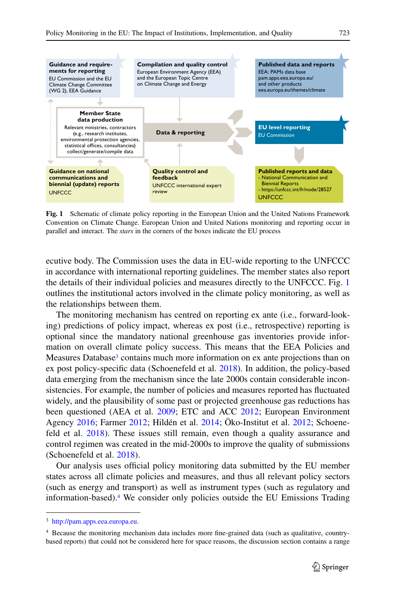

<span id="page-4-0"></span>**Fig. 1** Schematic of climate policy reporting in the European Union and the United Nations Framework Convention on Climate Change. European Union and United Nations monitoring and reporting occur in parallel and interact. The *stars* in the corners of the boxes indicate the EU process

ecutive body. The Commission uses the data in EU-wide reporting to the UNFCCC in accordance with international reporting guidelines. The member states also report the details of their individual policies and measures directly to the UNFCCC. Fig. [1](#page-4-0) outlines the institutional actors involved in the climate policy monitoring, as well as the relationships between them.

The monitoring mechanism has centred on reporting ex ante (i.e., forward-looking) predictions of policy impact, whereas ex post (i.e., retrospective) reporting is optional since the mandatory national greenhouse gas inventories provide information on overall climate policy success. This means that the EEA Policies and Measures Database<sup>3</sup> contains much more information on ex ante projections than on ex post policy-specific data (Schoenefeld et al. [2018\)](#page-21-8). In addition, the policy-based data emerging from the mechanism since the late 2000s contain considerable inconsistencies. For example, the number of policies and measures reported has fluctuated widely, and the plausibility of some past or projected greenhouse gas reductions has been questioned (AEA et al. [2009;](#page-20-9) ETC and ACC [2012;](#page-20-10) European Environment Agency [2016;](#page-20-11) Farmer [2012;](#page-20-12) Hildén et al. [2014;](#page-20-5) Öko-Institut et al. [2012;](#page-21-11) Schoenefeld et al. [2018\)](#page-21-8). These issues still remain, even though a quality assurance and control regimen was created in the mid-2000s to improve the quality of submissions (Schoenefeld et al. [2018\)](#page-21-8).

Our analysis uses official policy monitoring data submitted by the EU member states across all climate policies and measures, and thus all relevant policy sectors (such as energy and transport) as well as instrument types (such as regulatory and information-based)[.4](#page-4-2) We consider only policies outside the EU Emissions Trading

<span id="page-4-2"></span><span id="page-4-1"></span><sup>3</sup> [http://pam.apps.eea.europa.eu.](http://pam.apps.eea.europa.eu)

<sup>4</sup> Because the monitoring mechanism data includes more fine-grained data (such as qualitative, countrybased reports) that could not be considered here for space reasons, the discussion section contains a range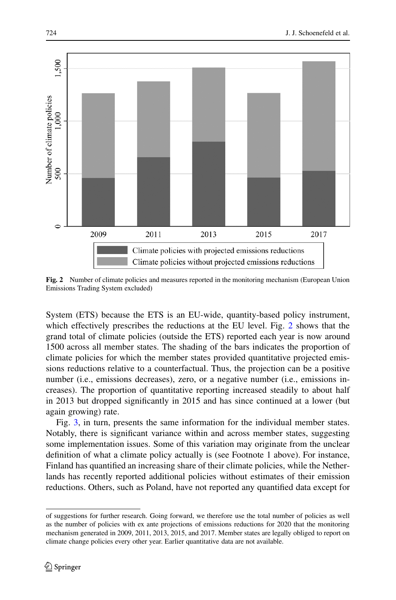

<span id="page-5-0"></span>**Fig. 2** Number of climate policies and measures reported in the monitoring mechanism (European Union Emissions Trading System excluded)

System (ETS) because the ETS is an EU-wide, quantity-based policy instrument, which effectively prescribes the reductions at the EU level. Fig. [2](#page-5-0) shows that the grand total of climate policies (outside the ETS) reported each year is now around 1500 across all member states. The shading of the bars indicates the proportion of climate policies for which the member states provided quantitative projected emissions reductions relative to a counterfactual. Thus, the projection can be a positive number (i.e., emissions decreases), zero, or a negative number (i.e., emissions increases). The proportion of quantitative reporting increased steadily to about half in 2013 but dropped significantly in 2015 and has since continued at a lower (but again growing) rate.

Fig. [3,](#page-6-0) in turn, presents the same information for the individual member states. Notably, there is significant variance within and across member states, suggesting some implementation issues. Some of this variation may originate from the unclear definition of what a climate policy actually is (see Footnote 1 above). For instance, Finland has quantified an increasing share of their climate policies, while the Netherlands has recently reported additional policies without estimates of their emission reductions. Others, such as Poland, have not reported any quantified data except for

of suggestions for further research. Going forward, we therefore use the total number of policies as well as the number of policies with ex ante projections of emissions reductions for 2020 that the monitoring mechanism generated in 2009, 2011, 2013, 2015, and 2017. Member states are legally obliged to report on climate change policies every other year. Earlier quantitative data are not available.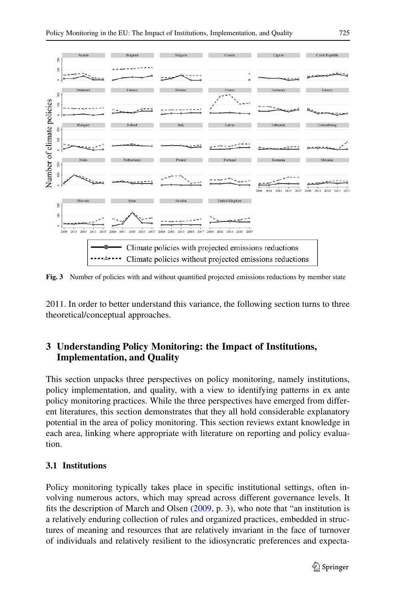

<span id="page-6-0"></span>**Fig. 3** Number of policies with and without quantified projected emissions reductions by member state

2011. In order to better understand this variance, the following section turns to three theoretical/conceptual approaches.

# **3 Understanding Policy Monitoring: the Impact of Institutions, Implementation, and Quality**

This section unpacks three perspectives on policy monitoring, namely institutions, policy implementation, and quality, with a view to identifying patterns in ex ante policy monitoring practices. While the three perspectives have emerged from different literatures, this section demonstrates that they all hold considerable explanatory potential in the area of policy monitoring. This section reviews extant knowledge in each area, linking where appropriate with literature on reporting and policy evaluation.

#### **3.1 Institutions**

Policy monitoring typically takes place in specific institutional settings, often involving numerous actors, which may spread across different governance levels. It fits the description of March and Olsen [\(2009,](#page-21-12) p. 3), who note that "an institution is a relatively enduring collection of rules and organized practices, embedded in structures of meaning and resources that are relatively invariant in the face of turnover of individuals and relatively resilient to the idiosyncratic preferences and expecta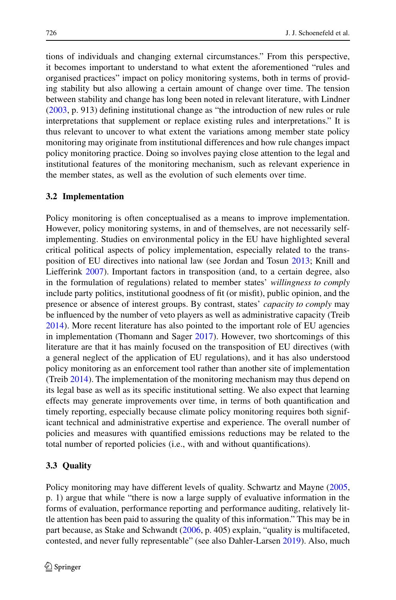tions of individuals and changing external circumstances." From this perspective, it becomes important to understand to what extent the aforementioned "rules and organised practices" impact on policy monitoring systems, both in terms of providing stability but also allowing a certain amount of change over time. The tension between stability and change has long been noted in relevant literature, with Lindner [\(2003,](#page-21-13) p. 913) defining institutional change as "the introduction of new rules or rule interpretations that supplement or replace existing rules and interpretations." It is thus relevant to uncover to what extent the variations among member state policy monitoring may originate from institutional differences and how rule changes impact policy monitoring practice. Doing so involves paying close attention to the legal and institutional features of the monitoring mechanism, such as relevant experience in the member states, as well as the evolution of such elements over time.

#### **3.2 Implementation**

Policy monitoring is often conceptualised as a means to improve implementation. However, policy monitoring systems, in and of themselves, are not necessarily selfimplementing. Studies on environmental policy in the EU have highlighted several critical political aspects of policy implementation, especially related to the transposition of EU directives into national law (see Jordan and Tosun [2013;](#page-20-13) Knill and Liefferink [2007\)](#page-21-14). Important factors in transposition (and, to a certain degree, also in the formulation of regulations) related to member states' *willingness to comply* include party politics, institutional goodness of fit (or misfit), public opinion, and the presence or absence of interest groups. By contrast, states' *capacity to comply* may be influenced by the number of veto players as well as administrative capacity (Treib [2014\)](#page-21-15). More recent literature has also pointed to the important role of EU agencies in implementation (Thomann and Sager [2017\)](#page-21-16). However, two shortcomings of this literature are that it has mainly focused on the transposition of EU directives (with a general neglect of the application of EU regulations), and it has also understood policy monitoring as an enforcement tool rather than another site of implementation (Treib [2014\)](#page-21-15). The implementation of the monitoring mechanism may thus depend on its legal base as well as its specific institutional setting. We also expect that learning effects may generate improvements over time, in terms of both quantification and timely reporting, especially because climate policy monitoring requires both significant technical and administrative expertise and experience. The overall number of policies and measures with quantified emissions reductions may be related to the total number of reported policies (i.e., with and without quantifications).

#### **3.3 Quality**

Policy monitoring may have different levels of quality. Schwartz and Mayne [\(2005,](#page-21-17) p. 1) argue that while "there is now a large supply of evaluative information in the forms of evaluation, performance reporting and performance auditing, relatively little attention has been paid to assuring the quality of this information." This may be in part because, as Stake and Schwandt [\(2006,](#page-21-18) p. 405) explain, "quality is multifaceted, contested, and never fully representable" (see also Dahler-Larsen [2019\)](#page-20-14). Also, much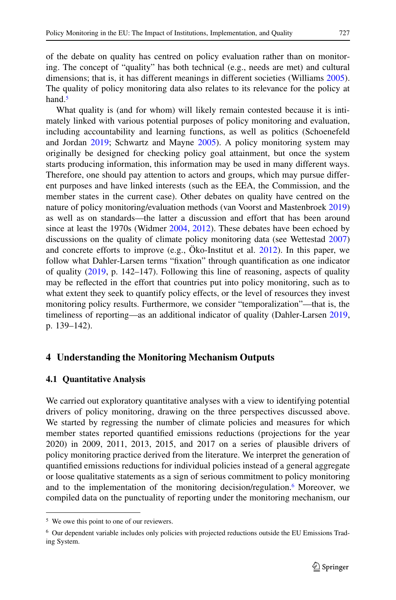of the debate on quality has centred on policy evaluation rather than on monitoring. The concept of "quality" has both technical (e.g., needs are met) and cultural dimensions; that is, it has different meanings in different societies (Williams [2005\)](#page-22-1). The quality of policy monitoring data also relates to its relevance for the policy at hand.<sup>5</sup>

What quality is (and for whom) will likely remain contested because it is intimately linked with various potential purposes of policy monitoring and evaluation, including accountability and learning functions, as well as politics (Schoenefeld and Jordan [2019;](#page-21-19) Schwartz and Mayne [2005\)](#page-21-17). A policy monitoring system may originally be designed for checking policy goal attainment, but once the system starts producing information, this information may be used in many different ways. Therefore, one should pay attention to actors and groups, which may pursue different purposes and have linked interests (such as the EEA, the Commission, and the member states in the current case). Other debates on quality have centred on the nature of policy monitoring/evaluation methods (van Voorst and Mastenbroek [2019\)](#page-22-2) as well as on standards—the latter a discussion and effort that has been around since at least the 1970s (Widmer [2004,](#page-22-3) [2012\)](#page-22-4). These debates have been echoed by discussions on the quality of climate policy monitoring data (see Wettestad [2007\)](#page-22-5) and concrete efforts to improve (e.g., Öko-Institut et al. [2012\)](#page-21-11). In this paper, we follow what Dahler-Larsen terms "fixation" through quantification as one indicator of quality [\(2019,](#page-20-14) p. 142–147). Following this line of reasoning, aspects of quality may be reflected in the effort that countries put into policy monitoring, such as to what extent they seek to quantify policy effects, or the level of resources they invest monitoring policy results. Furthermore, we consider "temporalization"—that is, the timeliness of reporting—as an additional indicator of quality (Dahler-Larsen [2019,](#page-20-14) p. 139–142).

# **4 Understanding the Monitoring Mechanism Outputs**

#### **4.1 Quantitative Analysis**

We carried out exploratory quantitative analyses with a view to identifying potential drivers of policy monitoring, drawing on the three perspectives discussed above. We started by regressing the number of climate policies and measures for which member states reported quantified emissions reductions (projections for the year 2020) in 2009, 2011, 2013, 2015, and 2017 on a series of plausible drivers of policy monitoring practice derived from the literature. We interpret the generation of quantified emissions reductions for individual policies instead of a general aggregate or loose qualitative statements as a sign of serious commitment to policy monitoring and to the implementation of the monitoring decision/regulation[.6](#page-8-1) Moreover, we compiled data on the punctuality of reporting under the monitoring mechanism, our

<span id="page-8-1"></span><span id="page-8-0"></span><sup>5</sup> We owe this point to one of our reviewers.

<sup>6</sup> Our dependent variable includes only policies with projected reductions outside the EU Emissions Trading System.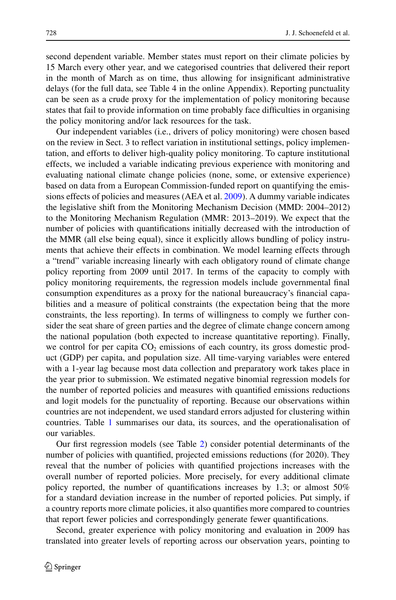second dependent variable. Member states must report on their climate policies by 15 March every other year, and we categorised countries that delivered their report in the month of March as on time, thus allowing for insignificant administrative delays (for the full data, see Table 4 in the online Appendix). Reporting punctuality can be seen as a crude proxy for the implementation of policy monitoring because states that fail to provide information on time probably face difficulties in organising the policy monitoring and/or lack resources for the task.

Our independent variables (i.e., drivers of policy monitoring) were chosen based on the review in Sect. 3 to reflect variation in institutional settings, policy implementation, and efforts to deliver high-quality policy monitoring. To capture institutional effects, we included a variable indicating previous experience with monitoring and evaluating national climate change policies (none, some, or extensive experience) based on data from a European Commission-funded report on quantifying the emissions effects of policies and measures (AEA et al. [2009\)](#page-20-9). A dummy variable indicates the legislative shift from the Monitoring Mechanism Decision (MMD: 2004–2012) to the Monitoring Mechanism Regulation (MMR: 2013–2019). We expect that the number of policies with quantifications initially decreased with the introduction of the MMR (all else being equal), since it explicitly allows bundling of policy instruments that achieve their effects in combination. We model learning effects through a "trend" variable increasing linearly with each obligatory round of climate change policy reporting from 2009 until 2017. In terms of the capacity to comply with policy monitoring requirements, the regression models include governmental final consumption expenditures as a proxy for the national bureaucracy's financial capabilities and a measure of political constraints (the expectation being that the more constraints, the less reporting). In terms of willingness to comply we further consider the seat share of green parties and the degree of climate change concern among the national population (both expected to increase quantitative reporting). Finally, we control for per capita  $CO<sub>2</sub>$  emissions of each country, its gross domestic product (GDP) per capita, and population size. All time-varying variables were entered with a 1-year lag because most data collection and preparatory work takes place in the year prior to submission. We estimated negative binomial regression models for the number of reported policies and measures with quantified emissions reductions and logit models for the punctuality of reporting. Because our observations within countries are not independent, we used standard errors adjusted for clustering within countries. Table [1](#page-10-0) summarises our data, its sources, and the operationalisation of our variables.

Our first regression models (see Table [2\)](#page-11-0) consider potential determinants of the number of policies with quantified, projected emissions reductions (for 2020). They reveal that the number of policies with quantified projections increases with the overall number of reported policies. More precisely, for every additional climate policy reported, the number of quantifications increases by 1.3; or almost 50% for a standard deviation increase in the number of reported policies. Put simply, if a country reports more climate policies, it also quantifies more compared to countries that report fewer policies and correspondingly generate fewer quantifications.

Second, greater experience with policy monitoring and evaluation in 2009 has translated into greater levels of reporting across our observation years, pointing to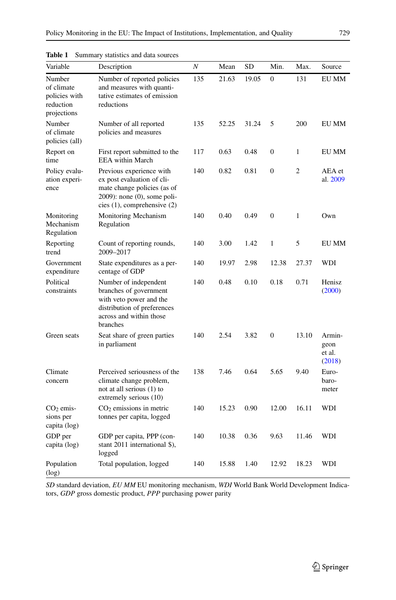| ravit 1                                                           | building statistics and data sources                                                                                                                          |                  |       |           |                |              |                                    |
|-------------------------------------------------------------------|---------------------------------------------------------------------------------------------------------------------------------------------------------------|------------------|-------|-----------|----------------|--------------|------------------------------------|
| Variable                                                          | Description                                                                                                                                                   | $\boldsymbol{N}$ | Mean  | <b>SD</b> | Min.           | Max.         | Source                             |
| Number<br>of climate<br>policies with<br>reduction<br>projections | Number of reported policies<br>and measures with quanti-<br>tative estimates of emission<br>reductions                                                        | 135              | 21.63 | 19.05     | $\overline{0}$ | 131          | EU MM                              |
| Number<br>of climate<br>policies (all)                            | Number of all reported<br>policies and measures                                                                                                               | 135              | 52.25 | 31.24     | 5              | 200          | EU MM                              |
| Report on<br>time                                                 | First report submitted to the<br><b>EEA</b> within March                                                                                                      | 117              | 0.63  | 0.48      | $\overline{0}$ | $\mathbf{1}$ | EU MM                              |
| Policy evalu-<br>ation experi-<br>ence                            | Previous experience with<br>ex post evaluation of cli-<br>mate change policies (as of<br>$2009$ : none $(0)$ , some poli-<br>cies $(1)$ , comprehensive $(2)$ | 140              | 0.82  | 0.81      | $\mathbf{0}$   | 2            | AEA et<br>al. 2009                 |
| Monitoring<br>Mechanism<br>Regulation                             | Monitoring Mechanism<br>Regulation                                                                                                                            | 140              | 0.40  | 0.49      | $\mathbf{0}$   | 1            | Own                                |
| Reporting<br>trend                                                | Count of reporting rounds,<br>2009-2017                                                                                                                       | 140              | 3.00  | 1.42      | 1              | 5            | EU MM                              |
| Government<br>expenditure                                         | State expenditures as a per-<br>centage of GDP                                                                                                                | 140              | 19.97 | 2.98      | 12.38          | 27.37        | WDI                                |
| Political<br>constraints                                          | Number of independent<br>branches of government<br>with veto power and the<br>distribution of preferences<br>across and within those<br>branches              | 140              | 0.48  | 0.10      | 0.18           | 0.71         | Henisz<br>(2000)                   |
| Green seats                                                       | Seat share of green parties<br>in parliament                                                                                                                  | 140              | 2.54  | 3.82      | $\mathbf{0}$   | 13.10        | Armin-<br>geon<br>et al.<br>(2018) |
| Climate<br>concern                                                | Perceived seriousness of the<br>climate change problem,<br>not at all serious (1) to<br>extremely serious (10)                                                | 138              | 7.46  | 0.64      | 5.65           | 9.40         | Euro-<br>baro-<br>meter            |
| $CO2$ emis-<br>sions per<br>capita (log)                          | $CO2$ emissions in metric<br>tonnes per capita, logged                                                                                                        | 140              | 15.23 | 0.90      | 12.00          | 16.11        | WDI                                |
| GDP per<br>capita (log)                                           | GDP per capita, PPP (con-<br>stant 2011 international \$),<br>logged                                                                                          | 140              | 10.38 | 0.36      | 9.63           | 11.46        | WDI                                |
| Population<br>(log)                                               | Total population, logged                                                                                                                                      | 140              | 15.88 | 1.40      | 12.92          | 18.23        | WDI                                |

<span id="page-10-0"></span>**Table 1** Summary statistics and data sources

*SD* standard deviation, *EU MM* EU monitoring mechanism, *WDI* World Bank World Development Indicators, *GDP* gross domestic product, *PPP* purchasing power parity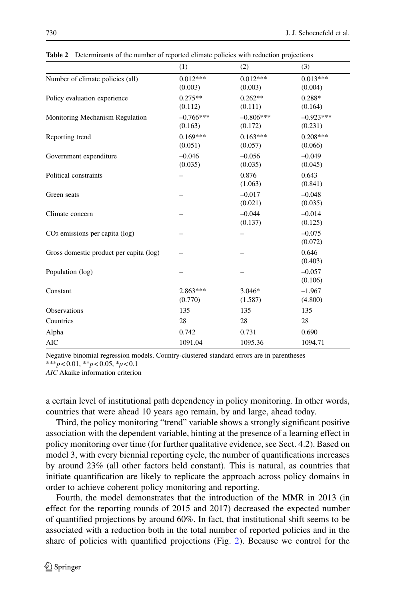|                                         | (1)                                            | (2)                    | (3)                    |  |
|-----------------------------------------|------------------------------------------------|------------------------|------------------------|--|
| Number of climate policies (all)        | $0.012***$<br>$0.012***$<br>(0.003)<br>(0.003) |                        | $0.013***$<br>(0.004)  |  |
| Policy evaluation experience            | $0.275**$<br>(0.112)                           | $0.262**$<br>(0.111)   | $0.288*$<br>(0.164)    |  |
| Monitoring Mechanism Regulation         | $-0.766***$<br>(0.163)                         | $-0.806***$<br>(0.172) | $-0.923***$<br>(0.231) |  |
| Reporting trend                         | $0.169***$<br>(0.051)                          | $0.163***$<br>(0.057)  | $0.208***$<br>(0.066)  |  |
| Government expenditure                  | $-0.046$<br>(0.035)                            | $-0.056$<br>(0.035)    | $-0.049$<br>(0.045)    |  |
| Political constraints                   |                                                | 0.876<br>(1.063)       | 0.643<br>(0.841)       |  |
| Green seats                             |                                                | $-0.017$<br>(0.021)    | $-0.048$<br>(0.035)    |  |
| Climate concern                         |                                                | $-0.044$<br>(0.137)    | $-0.014$<br>(0.125)    |  |
| $CO2$ emissions per capita (log)        |                                                |                        | $-0.075$<br>(0.072)    |  |
| Gross domestic product per capita (log) |                                                |                        | 0.646<br>(0.403)       |  |
| Population (log)                        |                                                |                        | $-0.057$<br>(0.106)    |  |
| Constant                                | $2.863***$<br>(0.770)                          | $3.046*$<br>(1.587)    | $-1.967$<br>(4.800)    |  |
| <b>Observations</b>                     | 135                                            | 135                    | 135                    |  |
| Countries                               | 28                                             | 28                     | 28                     |  |
| Alpha                                   | 0.742                                          | 0.731                  | 0.690                  |  |
| $\rm AIC$                               | 1091.04                                        | 1095.36                | 1094.71                |  |

<span id="page-11-0"></span>**Table 2** Determinants of the number of reported climate policies with reduction projections

Negative binomial regression models. Country-clustered standard errors are in parentheses

\*\*\**p*< 0.01, \*\**p*< 0.05, \**p*< 0.1

*AIC* Akaike information criterion

a certain level of institutional path dependency in policy monitoring. In other words, countries that were ahead 10 years ago remain, by and large, ahead today.

Third, the policy monitoring "trend" variable shows a strongly significant positive association with the dependent variable, hinting at the presence of a learning effect in policy monitoring over time (for further qualitative evidence, see Sect. 4.2). Based on model 3, with every biennial reporting cycle, the number of quantifications increases by around 23% (all other factors held constant). This is natural, as countries that initiate quantification are likely to replicate the approach across policy domains in order to achieve coherent policy monitoring and reporting.

Fourth, the model demonstrates that the introduction of the MMR in 2013 (in effect for the reporting rounds of 2015 and 2017) decreased the expected number of quantified projections by around 60%. In fact, that institutional shift seems to be associated with a reduction both in the total number of reported policies and in the share of policies with quantified projections (Fig. [2\)](#page-5-0). Because we control for the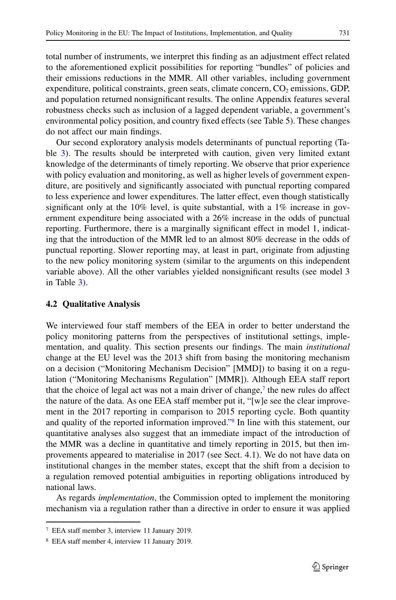total number of instruments, we interpret this finding as an adjustment effect related to the aforementioned explicit possibilities for reporting "bundles" of policies and their emissions reductions in the MMR. All other variables, including government expenditure, political constraints, green seats, climate concern,  $CO<sub>2</sub>$  emissions, GDP, and population returned nonsignificant results. The online Appendix features several robustness checks such as inclusion of a lagged dependent variable, a government's environmental policy position, and country fixed effects (see Table 5). These changes do not affect our main findings.

Our second exploratory analysis models determinants of punctual reporting (Table [3\)](#page-13-0). The results should be interpreted with caution, given very limited extant knowledge of the determinants of timely reporting. We observe that prior experience with policy evaluation and monitoring, as well as higher levels of government expenditure, are positively and significantly associated with punctual reporting compared to less experience and lower expenditures. The latter effect, even though statistically significant only at the  $10\%$  level, is quite substantial, with a  $1\%$  increase in government expenditure being associated with a 26% increase in the odds of punctual reporting. Furthermore, there is a marginally significant effect in model 1, indicating that the introduction of the MMR led to an almost 80% decrease in the odds of punctual reporting. Slower reporting may, at least in part, originate from adjusting to the new policy monitoring system (similar to the arguments on this independent variable above). All the other variables yielded nonsignificant results (see model 3 in Table [3\)](#page-13-0).

# **4.2 Qualitative Analysis**

We interviewed four staff members of the EEA in order to better understand the policy monitoring patterns from the perspectives of institutional settings, implementation, and quality. This section presents our findings. The main *institutional* change at the EU level was the 2013 shift from basing the monitoring mechanism on a decision ("Monitoring Mechanism Decision" [MMD]) to basing it on a regulation ("Monitoring Mechanisms Regulation" [MMR]). Although EEA staff report that the choice of legal act was not a main driver of change, $\tau$  the new rules do affect the nature of the data. As one EEA staff member put it, "[w]e see the clear improvement in the 2017 reporting in comparison to 2015 reporting cycle. Both quantity and quality of the reported information improved.["8](#page-12-1) In line with this statement, our quantitative analyses also suggest that an immediate impact of the introduction of the MMR was a decline in quantitative and timely reporting in 2015, but then improvements appeared to materialise in 2017 (see Sect. 4.1). We do not have data on institutional changes in the member states, except that the shift from a decision to a regulation removed potential ambiguities in reporting obligations introduced by national laws.

As regards *implementation*, the Commission opted to implement the monitoring mechanism via a regulation rather than a directive in order to ensure it was applied

<span id="page-12-1"></span><span id="page-12-0"></span><sup>7</sup> EEA staff member 3, interview 11 January 2019.

<sup>8</sup> EEA staff member 4, interview 11 January 2019.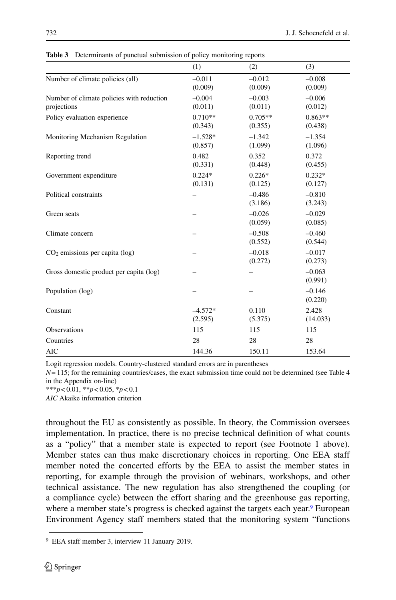|                                                          | (1)                  | (2)                  | (3)                  |
|----------------------------------------------------------|----------------------|----------------------|----------------------|
| Number of climate policies (all)                         | $-0.011$<br>(0.009)  | $-0.012$<br>(0.009)  | $-0.008$<br>(0.009)  |
| Number of climate policies with reduction<br>projections | $-0.004$<br>(0.011)  | $-0.003$<br>(0.011)  | $-0.006$<br>(0.012)  |
| Policy evaluation experience                             | $0.710**$<br>(0.343) | $0.705**$<br>(0.355) | $0.863**$<br>(0.438) |
| Monitoring Mechanism Regulation                          | $-1.528*$<br>(0.857) | $-1.342$<br>(1.099)  | $-1.354$<br>(1.096)  |
| Reporting trend                                          | 0.482<br>(0.331)     | 0.352<br>(0.448)     | 0.372<br>(0.455)     |
| Government expenditure                                   | $0.224*$<br>(0.131)  | $0.226*$<br>(0.125)  | $0.232*$<br>(0.127)  |
| Political constraints                                    |                      | $-0.486$<br>(3.186)  | $-0.810$<br>(3.243)  |
| Green seats                                              |                      | $-0.026$<br>(0.059)  | $-0.029$<br>(0.085)  |
| Climate concern                                          |                      | $-0.508$<br>(0.552)  | $-0.460$<br>(0.544)  |
| $CO2$ emissions per capita (log)                         |                      | $-0.018$<br>(0.272)  | $-0.017$<br>(0.273)  |
| Gross domestic product per capita (log)                  |                      |                      | $-0.063$<br>(0.991)  |
| Population (log)                                         |                      |                      | $-0.146$<br>(0.220)  |
| Constant                                                 | $-4.572*$<br>(2.595) | 0.110<br>(5.375)     | 2.428<br>(14.033)    |
| Observations                                             | 115                  | 115                  | 115                  |
| Countries                                                | 28                   | 28                   | 28                   |
| <b>AIC</b>                                               | 144.36               | 150.11               | 153.64               |

<span id="page-13-0"></span>**Table 3** Determinants of punctual submission of policy monitoring reports

Logit regression models. Country-clustered standard errors are in parentheses

 $N=115$ ; for the remaining countries/cases, the exact submission time could not be determined (see Table 4 in the Appendix on-line)

\*\*\**p*< 0.01, \*\**p*< 0.05, \**p*< 0.1

*AIC* Akaike information criterion

throughout the EU as consistently as possible. In theory, the Commission oversees implementation. In practice, there is no precise technical definition of what counts as a "policy" that a member state is expected to report (see Footnote 1 above). Member states can thus make discretionary choices in reporting. One EEA staff member noted the concerted efforts by the EEA to assist the member states in reporting, for example through the provision of webinars, workshops, and other technical assistance. The new regulation has also strengthened the coupling (or a compliance cycle) between the effort sharing and the greenhouse gas reporting, where a member state's progress is checked against the targets each year.<sup>9</sup> European Environment Agency staff members stated that the monitoring system "functions

<span id="page-13-1"></span><sup>9</sup> EEA staff member 3, interview 11 January 2019.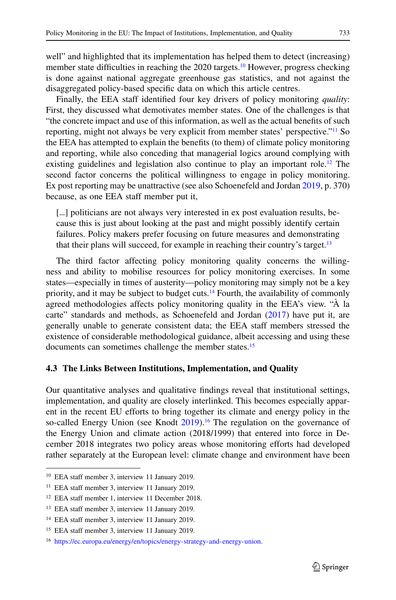well" and highlighted that its implementation has helped them to detect (increasing) member state difficulties in reaching the 2020 targets.<sup>10</sup> However, progress checking is done against national aggregate greenhouse gas statistics, and not against the disaggregated policy-based specific data on which this article centres.

Finally, the EEA staff identified four key drivers of policy monitoring *quality*: First, they discussed what demotivates member states. One of the challenges is that "the concrete impact and use of this information, as well as the actual benefits of such reporting, might not always be very explicit from member states' perspective.["11](#page-14-1) So the EEA has attempted to explain the benefits (to them) of climate policy monitoring and reporting, while also conceding that managerial logics around complying with existing guidelines and legislation also continue to play an important role.<sup>12</sup> The second factor concerns the political willingness to engage in policy monitoring. Ex post reporting may be unattractive (see also Schoenefeld and Jordan [2019,](#page-21-19) p. 370) because, as one EEA staff member put it,

[...] politicians are not always very interested in ex post evaluation results, because this is just about looking at the past and might possibly identify certain failures. Policy makers prefer focusing on future measures and demonstrating that their plans will succeed, for example in reaching their country's target.<sup>13</sup>

The third factor affecting policy monitoring quality concerns the willingness and ability to mobilise resources for policy monitoring exercises. In some states—especially in times of austerity—policy monitoring may simply not be a key priority, and it may be subject to budget cuts.<sup>14</sup> Fourth, the availability of commonly agreed methodologies affects policy monitoring quality in the EEA's view. "À la carte" standards and methods, as Schoenefeld and Jordan [\(2017\)](#page-21-7) have put it, are generally unable to generate consistent data; the EEA staff members stressed the existence of considerable methodological guidance, albeit accessing and using these documents can sometimes challenge the member states.<sup>15</sup>

#### **4.3 The Links Between Institutions, Implementation, and Quality**

Our quantitative analyses and qualitative findings reveal that institutional settings, implementation, and quality are closely interlinked. This becomes especially apparent in the recent EU efforts to bring together its climate and energy policy in the so-called Energy Union (see Knodt [2019\)](#page-21-20).<sup>16</sup> The regulation on the governance of the Energy Union and climate action (2018/1999) that entered into force in December 2018 integrates two policy areas whose monitoring efforts had developed rather separately at the European level: climate change and environment have been

<span id="page-14-1"></span><span id="page-14-0"></span><sup>10</sup> EEA staff member 3, interview 11 January 2019.

<span id="page-14-2"></span><sup>11</sup> EEA staff member 3, interview 11 January 2019.

<span id="page-14-3"></span><sup>12</sup> EEA staff member 1, interview 11 December 2018.

<span id="page-14-4"></span><sup>13</sup> EEA staff member 3, interview 11 January 2019.

<span id="page-14-5"></span><sup>14</sup> EEA staff member 3, interview 11 January 2019.

<span id="page-14-6"></span><sup>15</sup> EEA staff member 3, interview 11 January 2019.

<sup>16</sup> [https://ec.europa.eu/energy/en/topics/energy-strategy-and-energy-union.](https://ec.europa.eu/energy/en/topics/energy-strategy-and-energy-union)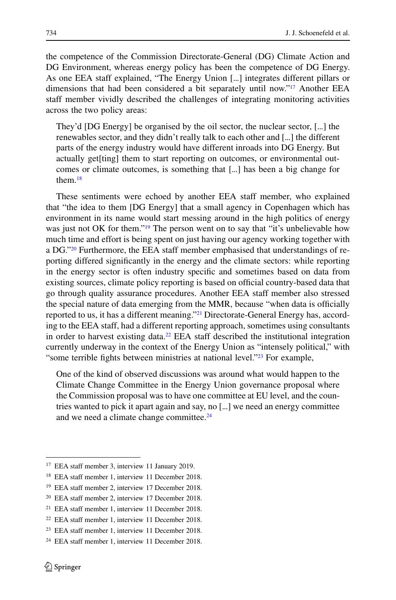the competence of the Commission Directorate-General (DG) Climate Action and DG Environment, whereas energy policy has been the competence of DG Energy. As one EEA staff explained, "The Energy Union [...] integrates different pillars or dimensions that had been considered a bit separately until now.["17](#page-15-0) Another EEA staff member vividly described the challenges of integrating monitoring activities across the two policy areas:

They'd [DG Energy] be organised by the oil sector, the nuclear sector, [...] the renewables sector, and they didn't really talk to each other and [...] the different parts of the energy industry would have different inroads into DG Energy. But actually get[ting] them to start reporting on outcomes, or environmental outcomes or climate outcomes, is something that [...] has been a big change for them[.18](#page-15-1)

These sentiments were echoed by another EEA staff member, who explained that "the idea to them [DG Energy] that a small agency in Copenhagen which has environment in its name would start messing around in the high politics of energy was just not OK for them."<sup>19</sup> The person went on to say that "it's unbelievable how much time and effort is being spent on just having our agency working together with a DG.["20](#page-15-3) Furthermore, the EEA staff member emphasised that understandings of reporting differed significantly in the energy and the climate sectors: while reporting in the energy sector is often industry specific and sometimes based on data from existing sources, climate policy reporting is based on official country-based data that go through quality assurance procedures. Another EEA staff member also stressed the special nature of data emerging from the MMR, because "when data is officially reported to us, it has a different meaning."<sup>21</sup> Directorate-General Energy has, according to the EEA staff, had a different reporting approach, sometimes using consultants in order to harvest existing data.<sup>22</sup> EEA staff described the institutional integration currently underway in the context of the Energy Union as "intensely political," with "some terrible fights between ministries at national level."<sup>23</sup> For example,

One of the kind of observed discussions was around what would happen to the Climate Change Committee in the Energy Union governance proposal where the Commission proposal was to have one committee at EU level, and the countries wanted to pick it apart again and say, no [...] we need an energy committee and we need a climate change committee.<sup>24</sup>

<span id="page-15-1"></span><span id="page-15-0"></span><sup>17</sup> EEA staff member 3, interview 11 January 2019.

<span id="page-15-2"></span><sup>18</sup> EEA staff member 1, interview 11 December 2018.

<span id="page-15-3"></span><sup>19</sup> EEA staff member 2, interview 17 December 2018.

<span id="page-15-4"></span><sup>20</sup> EEA staff member 2, interview 17 December 2018.

<span id="page-15-5"></span><sup>21</sup> EEA staff member 1, interview 11 December 2018.

<span id="page-15-6"></span><sup>22</sup> EEA staff member 1, interview 11 December 2018.

<span id="page-15-7"></span><sup>23</sup> EEA staff member 1, interview 11 December 2018.

<sup>24</sup> EEA staff member 1, interview 11 December 2018.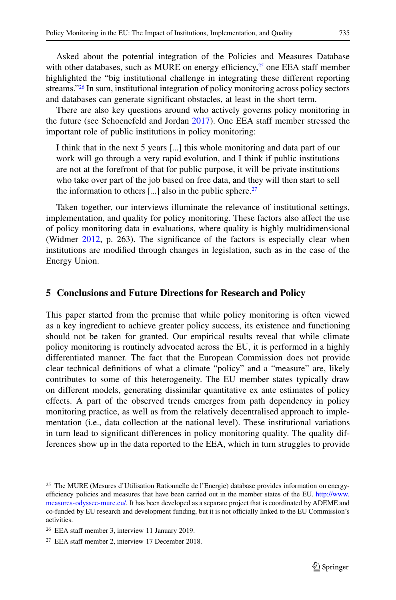Asked about the potential integration of the Policies and Measures Database with other databases, such as MURE on energy efficiency,<sup>25</sup> one EEA staff member highlighted the "big institutional challenge in integrating these different reporting streams.["26](#page-16-1) In sum, institutional integration of policy monitoring across policy sectors and databases can generate significant obstacles, at least in the short term.

There are also key questions around who actively governs policy monitoring in the future (see Schoenefeld and Jordan [2017\)](#page-21-7). One EEA staff member stressed the important role of public institutions in policy monitoring:

I think that in the next 5 years [...] this whole monitoring and data part of our work will go through a very rapid evolution, and I think if public institutions are not at the forefront of that for public purpose, it will be private institutions who take over part of the job based on free data, and they will then start to sell the information to others  $[...]$  also in the public sphere.<sup>27</sup>

Taken together, our interviews illuminate the relevance of institutional settings, implementation, and quality for policy monitoring. These factors also affect the use of policy monitoring data in evaluations, where quality is highly multidimensional (Widmer [2012,](#page-22-4) p. 263). The significance of the factors is especially clear when institutions are modified through changes in legislation, such as in the case of the Energy Union.

#### **5 Conclusions and Future Directions for Research and Policy**

This paper started from the premise that while policy monitoring is often viewed as a key ingredient to achieve greater policy success, its existence and functioning should not be taken for granted. Our empirical results reveal that while climate policy monitoring is routinely advocated across the EU, it is performed in a highly differentiated manner. The fact that the European Commission does not provide clear technical definitions of what a climate "policy" and a "measure" are, likely contributes to some of this heterogeneity. The EU member states typically draw on different models, generating dissimilar quantitative ex ante estimates of policy effects. A part of the observed trends emerges from path dependency in policy monitoring practice, as well as from the relatively decentralised approach to implementation (i.e., data collection at the national level). These institutional variations in turn lead to significant differences in policy monitoring quality. The quality differences show up in the data reported to the EEA, which in turn struggles to provide

<span id="page-16-0"></span><sup>25</sup> The MURE (Mesures d'Utilisation Rationnelle de l'Energie) database provides information on energyefficiency policies and measures that have been carried out in the member states of the EU. [http://www.](http://www.measures-odyssee-mure.eu/) [measures-odyssee-mure.eu/.](http://www.measures-odyssee-mure.eu/) It has been developed as a separate project that is coordinated by ADEME and co-funded by EU research and development funding, but it is not officially linked to the EU Commission's activities.

<span id="page-16-2"></span><span id="page-16-1"></span><sup>26</sup> EEA staff member 3, interview 11 January 2019.

<sup>27</sup> EEA staff member 2, interview 17 December 2018.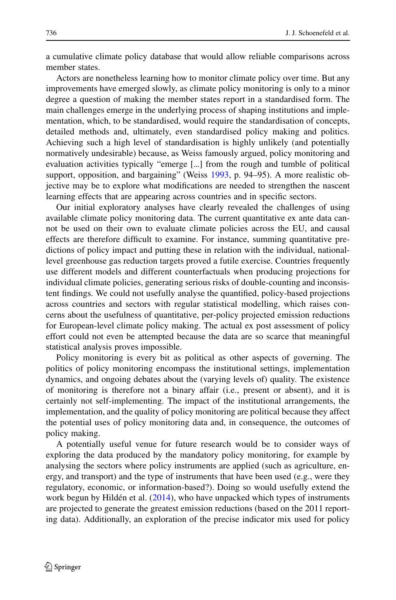a cumulative climate policy database that would allow reliable comparisons across member states.

Actors are nonetheless learning how to monitor climate policy over time. But any improvements have emerged slowly, as climate policy monitoring is only to a minor degree a question of making the member states report in a standardised form. The main challenges emerge in the underlying process of shaping institutions and implementation, which, to be standardised, would require the standardisation of concepts, detailed methods and, ultimately, even standardised policy making and politics. Achieving such a high level of standardisation is highly unlikely (and potentially normatively undesirable) because, as Weiss famously argued, policy monitoring and evaluation activities typically "emerge [...] from the rough and tumble of political support, opposition, and bargaining" (Weiss [1993,](#page-22-0) p. 94–95). A more realistic objective may be to explore what modifications are needed to strengthen the nascent learning effects that are appearing across countries and in specific sectors.

Our initial exploratory analyses have clearly revealed the challenges of using available climate policy monitoring data. The current quantitative ex ante data cannot be used on their own to evaluate climate policies across the EU, and causal effects are therefore difficult to examine. For instance, summing quantitative predictions of policy impact and putting these in relation with the individual, nationallevel greenhouse gas reduction targets proved a futile exercise. Countries frequently use different models and different counterfactuals when producing projections for individual climate policies, generating serious risks of double-counting and inconsistent findings. We could not usefully analyse the quantified, policy-based projections across countries and sectors with regular statistical modelling, which raises concerns about the usefulness of quantitative, per-policy projected emission reductions for European-level climate policy making. The actual ex post assessment of policy effort could not even be attempted because the data are so scarce that meaningful statistical analysis proves impossible.

Policy monitoring is every bit as political as other aspects of governing. The politics of policy monitoring encompass the institutional settings, implementation dynamics, and ongoing debates about the (varying levels of) quality. The existence of monitoring is therefore not a binary affair (i.e., present or absent), and it is certainly not self-implementing. The impact of the institutional arrangements, the implementation, and the quality of policy monitoring are political because they affect the potential uses of policy monitoring data and, in consequence, the outcomes of policy making.

A potentially useful venue for future research would be to consider ways of exploring the data produced by the mandatory policy monitoring, for example by analysing the sectors where policy instruments are applied (such as agriculture, energy, and transport) and the type of instruments that have been used (e.g., were they regulatory, economic, or information-based?). Doing so would usefully extend the work begun by Hildén et al. [\(2014\)](#page-20-5), who have unpacked which types of instruments are projected to generate the greatest emission reductions (based on the 2011 reporting data). Additionally, an exploration of the precise indicator mix used for policy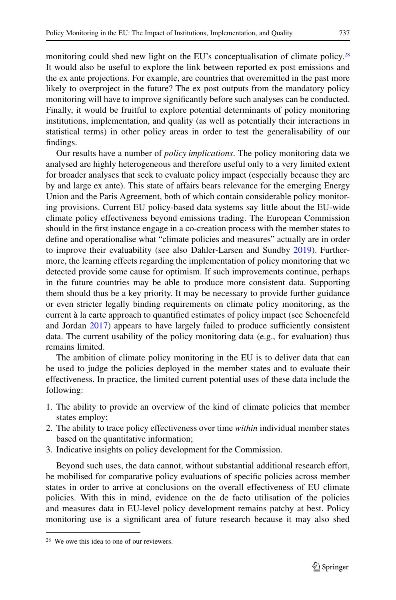monitoring could shed new light on the EU's conceptualisation of climate policy.<sup>28</sup> It would also be useful to explore the link between reported ex post emissions and the ex ante projections. For example, are countries that overemitted in the past more likely to overproject in the future? The ex post outputs from the mandatory policy monitoring will have to improve significantly before such analyses can be conducted. Finally, it would be fruitful to explore potential determinants of policy monitoring institutions, implementation, and quality (as well as potentially their interactions in statistical terms) in other policy areas in order to test the generalisability of our findings.

Our results have a number of *policy implications*. The policy monitoring data we analysed are highly heterogeneous and therefore useful only to a very limited extent for broader analyses that seek to evaluate policy impact (especially because they are by and large ex ante). This state of affairs bears relevance for the emerging Energy Union and the Paris Agreement, both of which contain considerable policy monitoring provisions. Current EU policy-based data systems say little about the EU-wide climate policy effectiveness beyond emissions trading. The European Commission should in the first instance engage in a co-creation process with the member states to define and operationalise what "climate policies and measures" actually are in order to improve their evaluability (see also Dahler-Larsen and Sundby [2019\)](#page-20-17). Furthermore, the learning effects regarding the implementation of policy monitoring that we detected provide some cause for optimism. If such improvements continue, perhaps in the future countries may be able to produce more consistent data. Supporting them should thus be a key priority. It may be necessary to provide further guidance or even stricter legally binding requirements on climate policy monitoring, as the current à la carte approach to quantified estimates of policy impact (see Schoenefeld and Jordan [2017\)](#page-21-7) appears to have largely failed to produce sufficiently consistent data. The current usability of the policy monitoring data (e.g., for evaluation) thus remains limited.

The ambition of climate policy monitoring in the EU is to deliver data that can be used to judge the policies deployed in the member states and to evaluate their effectiveness. In practice, the limited current potential uses of these data include the following:

- 1. The ability to provide an overview of the kind of climate policies that member states employ;
- 2. The ability to trace policy effectiveness over time *within* individual member states based on the quantitative information;
- 3. Indicative insights on policy development for the Commission.

Beyond such uses, the data cannot, without substantial additional research effort, be mobilised for comparative policy evaluations of specific policies across member states in order to arrive at conclusions on the overall effectiveness of EU climate policies. With this in mind, evidence on the de facto utilisation of the policies and measures data in EU-level policy development remains patchy at best. Policy monitoring use is a significant area of future research because it may also shed

<span id="page-18-0"></span><sup>&</sup>lt;sup>28</sup> We owe this idea to one of our reviewers.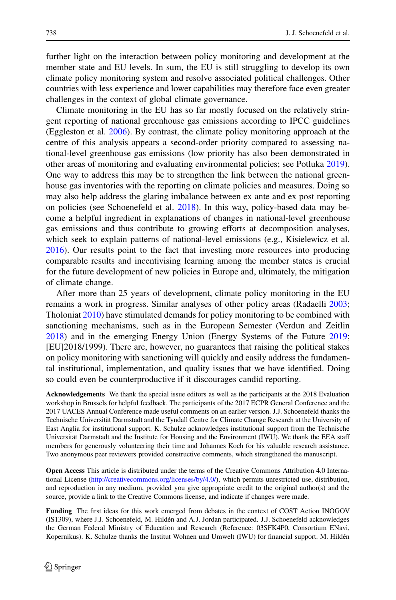further light on the interaction between policy monitoring and development at the member state and EU levels. In sum, the EU is still struggling to develop its own climate policy monitoring system and resolve associated political challenges. Other countries with less experience and lower capabilities may therefore face even greater challenges in the context of global climate governance.

Climate monitoring in the EU has so far mostly focused on the relatively stringent reporting of national greenhouse gas emissions according to IPCC guidelines (Eggleston et al. [2006\)](#page-20-7). By contrast, the climate policy monitoring approach at the centre of this analysis appears a second-order priority compared to assessing national-level greenhouse gas emissions (low priority has also been demonstrated in other areas of monitoring and evaluating environmental policies; see Potluka [2019\)](#page-21-21). One way to address this may be to strengthen the link between the national greenhouse gas inventories with the reporting on climate policies and measures. Doing so may also help address the glaring imbalance between ex ante and ex post reporting on policies (see Schoenefeld et al. [2018\)](#page-21-8). In this way, policy-based data may become a helpful ingredient in explanations of changes in national-level greenhouse gas emissions and thus contribute to growing efforts at decomposition analyses, which seek to explain patterns of national-level emissions (e.g., Kisielewicz et al. [2016\)](#page-21-22). Our results point to the fact that investing more resources into producing comparable results and incentivising learning among the member states is crucial for the future development of new policies in Europe and, ultimately, the mitigation of climate change.

After more than 25 years of development, climate policy monitoring in the EU remains a work in progress. Similar analyses of other policy areas (Radaelli [2003;](#page-21-23) Tholoniat [2010\)](#page-21-24) have stimulated demands for policy monitoring to be combined with sanctioning mechanisms, such as in the European Semester (Verdun and Zeitlin [2018\)](#page-21-10) and in the emerging Energy Union (Energy Systems of the Future [2019;](#page-20-18) [EU]2018/1999). There are, however, no guarantees that raising the political stakes on policy monitoring with sanctioning will quickly and easily address the fundamental institutional, implementation, and quality issues that we have identified. Doing so could even be counterproductive if it discourages candid reporting.

**Acknowledgements** We thank the special issue editors as well as the participants at the 2018 Evaluation workshop in Brussels for helpful feedback. The participants of the 2017 ECPR General Conference and the 2017 UACES Annual Conference made useful comments on an earlier version. J.J. Schoenefeld thanks the Technische Universität Darmstadt and the Tyndall Centre for Climate Change Research at the University of East Anglia for institutional support. K. Schulze acknowledges institutional support from the Technische Universität Darmstadt and the Institute for Housing and the Environment (IWU). We thank the EEA staff members for generously volunteering their time and Johannes Koch for his valuable research assistance. Two anonymous peer reviewers provided constructive comments, which strengthened the manuscript.

**Open Access** This article is distributed under the terms of the Creative Commons Attribution 4.0 International License [\(http://creativecommons.org/licenses/by/4.0/\)](http://creativecommons.org/licenses/by/4.0/), which permits unrestricted use, distribution, and reproduction in any medium, provided you give appropriate credit to the original author(s) and the source, provide a link to the Creative Commons license, and indicate if changes were made.

**Funding** The first ideas for this work emerged from debates in the context of COST Action INOGOV (IS1309), where J.J. Schoenefeld, M. Hildén and A.J. Jordan participated. J.J. Schoenefeld acknowledges the German Federal Ministry of Education and Research (Reference: 03SFK4P0, Consortium ENavi, Kopernikus). K. Schulze thanks the Institut Wohnen und Umwelt (IWU) for financial support. M. Hildén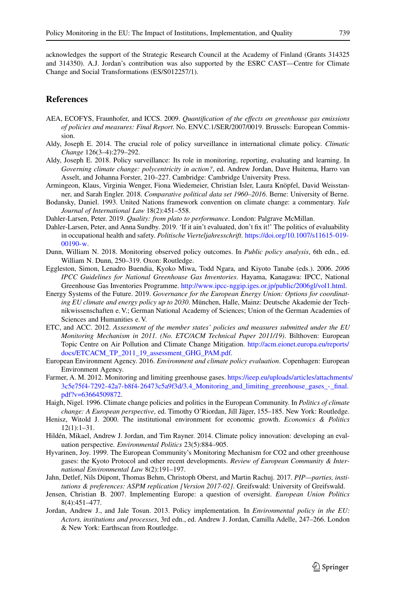acknowledges the support of the Strategic Research Council at the Academy of Finland (Grants 314325 and 314350). A.J. Jordan's contribution was also supported by the ESRC CAST—Centre for Climate Change and Social Transformations (ES/S012257/1).

#### **References**

- <span id="page-20-9"></span>AEA, ECOFYS, Fraunhofer, and ICCS. 2009. *Quantification of the effects on greenhouse gas emissions of policies and measures: Final Report*. No. ENV.C.1/SER/2007/0019. Brussels: European Commission.
- <span id="page-20-3"></span><span id="page-20-0"></span>Aldy, Joseph E. 2014. The crucial role of policy surveillance in international climate policy. *Climatic Change* 126(3–4):279–292.
- Aldy, Joseph E. 2018. Policy surveillance: Its role in monitoring, reporting, evaluating and learning. In *Governing climate change: polycentricity in action?*, ed. Andrew Jordan, Dave Huitema, Harro van Asselt, and Johanna Forster, 210–227. Cambridge: Cambridge University Press.
- <span id="page-20-16"></span><span id="page-20-4"></span>Armingeon, Klaus, Virginia Wenger, Fiona Wiedemeier, Christian Isler, Laura Knöpfel, David Weisstanner, and Sarah Engler. 2018. *Comparative political data set 1960–2016*. Berne: University of Berne.
- Bodansky, Daniel. 1993. United Nations framework convention on climate change: a commentary. *Yale Journal of International Law* 18(2):451–558.
- <span id="page-20-17"></span><span id="page-20-14"></span>Dahler-Larsen, Peter. 2019. *Quality: from plato to performance*. London: Palgrave McMillan.
- Dahler-Larsen, Peter, and Anna Sundby. 2019. 'If it ain't evaluated, don't fix it!' The politics of evaluability in occupational health and safety. *Politische Vierteljahresschrift*. [https://doi.org/10.1007/s11615-019-](https://doi.org/10.1007/s11615-019-00190-w) [00190-w.](https://doi.org/10.1007/s11615-019-00190-w)
- <span id="page-20-1"></span>Dunn, William N. 2018. Monitoring observed policy outcomes. In *Public policy analysis*, 6th edn., ed. William N. Dunn, 250–319. Oxon: Routledge.
- <span id="page-20-7"></span>Eggleston, Simon, Lenadro Buendia, Kyoko Miwa, Todd Ngara, and Kiyoto Tanabe (eds.). 2006. *2006 IPCC Guidelines for National Greenhouse Gas Inventories*. Hayama, Kanagawa: IPCC, National Greenhouse Gas Inventories Programme. [http://www.ipcc-nggip.iges.or.jp/public/2006gl/vol1.html.](http://www.ipcc-nggip.iges.or.jp/public/2006gl/vol1.html)
- <span id="page-20-18"></span>Energy Systems of the Future. 2019. *Governance for the European Energy Union: Options for coordinating EU climate and energy policy up to 2030*. München, Halle, Mainz: Deutsche Akademie der Technikwissenschaften e. V.; German National Academy of Sciences; Union of the German Academies of Sciences and Humanities e. V.
- <span id="page-20-10"></span>ETC, and ACC. 2012. *Assessment of the member states' policies and measures submitted under the EU Monitoring Mechanism in 2011. (No. ETC/ACM Technical Paper 2011/19)*. Bilthoven: European Topic Centre on Air Pollution and Climate Change Mitigation. [http://acm.eionet.europa.eu/reports/](http://acm.eionet.europa.eu/reports/docs/ETCACM_TP_2011_19_assessment_GHG_PAM.pdf) [docs/ETCACM\\_TP\\_2011\\_19\\_assessment\\_GHG\\_PAM.pdf.](http://acm.eionet.europa.eu/reports/docs/ETCACM_TP_2011_19_assessment_GHG_PAM.pdf)
- <span id="page-20-11"></span>European Environment Agency. 2016. *Environment and climate policy evaluation*. Copenhagen: European Environment Agency.
- <span id="page-20-12"></span>Farmer, A. M. 2012. Monitoring and limiting greenhouse gases. [https://ieep.eu/uploads/articles/attachments/](https://ieep.eu/uploads/articles/attachments/3c5e75f4-7292-42a7-b8f4-26473c5a9f3d/3.4_Monitoring_and_limiting_greenhouse_gases_-_final.pdf?v=63664509872) [3c5e75f4-7292-42a7-b8f4-26473c5a9f3d/3.4\\_Monitoring\\_and\\_limiting\\_greenhouse\\_gases\\_-\\_final.](https://ieep.eu/uploads/articles/attachments/3c5e75f4-7292-42a7-b8f4-26473c5a9f3d/3.4_Monitoring_and_limiting_greenhouse_gases_-_final.pdf?v=63664509872) [pdf?v=63664509872.](https://ieep.eu/uploads/articles/attachments/3c5e75f4-7292-42a7-b8f4-26473c5a9f3d/3.4_Monitoring_and_limiting_greenhouse_gases_-_final.pdf?v=63664509872)
- <span id="page-20-8"></span>Haigh, Nigel. 1996. Climate change policies and politics in the European Community. In *Politics of climate change: A European perspective*, ed. Timothy O'Riordan, Jill Jäger, 155–185. New York: Routledge.
- <span id="page-20-15"></span>Henisz, Witold J. 2000. The institutional environment for economic growth. *Economics & Politics* 12(1):1–31.
- <span id="page-20-5"></span>Hildén, Mikael, Andrew J. Jordan, and Tim Rayner. 2014. Climate policy innovation: developing an evaluation perspective. *Environmental Politics* 23(5):884–905.
- <span id="page-20-6"></span>Hyvarinen, Joy. 1999. The European Community's Monitoring Mechanism for CO2 and other greenhouse gases: the Kyoto Protocol and other recent developments. *Review of European Community & International Environmental Law* 8(2):191–197.
- Jahn, Detlef, Nils Düpont, Thomas Behm, Christoph Oberst, and Martin Rachuj. 2017. *PIP—parties, institutions & preferences: ASPM replication [Version 2017-02]*. Greifswald: University of Greifswald.
- <span id="page-20-2"></span>Jensen, Christian B. 2007. Implementing Europe: a question of oversight. *European Union Politics* 8(4):451–477.
- <span id="page-20-13"></span>Jordan, Andrew J., and Jale Tosun. 2013. Policy implementation. In *Environmental policy in the EU: Actors, institutions and processes*, 3rd edn., ed. Andrew J. Jordan, Camilla Adelle, 247–266. London & New York: Earthscan from Routledge.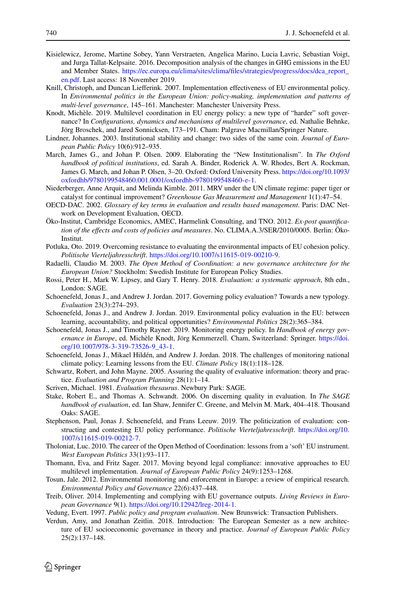- <span id="page-21-22"></span>Kisielewicz, Jerome, Martine Sobey, Yann Verstraeten, Angelica Marino, Lucia Lavric, Sebastian Voigt, and Jurga Tallat-Kelpsaite. 2016. Decomposition analysis of the changes in GHG emissions in the EU and Member States. [https://ec.europa.eu/clima/sites/clima/files/strategies/progress/docs/dca\\_report\\_](https://ec.europa.eu/clima/sites/clima/files/strategies/progress/docs/dca_report_en.pdf) [en.pdf.](https://ec.europa.eu/clima/sites/clima/files/strategies/progress/docs/dca_report_en.pdf) Last access: 18 November 2019.
- <span id="page-21-14"></span>Knill, Christoph, and Duncan Liefferink. 2007. Implementation effectiveness of EU environmental policy. In *Environmental politics in the European Union: policy-making, implementation and patterns of multi-level governance*, 145–161. Manchester: Manchester University Press.
- <span id="page-21-20"></span>Knodt, Michèle. 2019. Multilevel coordination in EU energy policy: a new type of "harder" soft governance? In *Configurations, dynamics and mechanisms of multilevel governance*, ed. Nathalie Behnke, Jörg Broschek, and Jared Sonnicksen, 173–191. Cham: Palgrave Macmillan/Springer Nature.
- <span id="page-21-13"></span><span id="page-21-12"></span>Lindner, Johannes. 2003. Institutional stability and change: two sides of the same coin. *Journal of European Public Policy* 10(6):912–935.
- March, James G., and Johan P. Olsen. 2009. Elaborating the "New Institutionalism". In *The Oxford handbook of political institutions*, ed. Sarah A. Binder, Roderick A. W. Rhodes, Bert A. Rockman, James G. March, and Johan P. Olsen, 3–20. Oxford: Oxford University Press. [https://doi.org/10.1093/](https://doi.org/10.1093/oxfordhb/9780199548460.001.0001/oxfordhb-9780199548460-e-1) [oxfordhb/9780199548460.001.0001/oxfordhb-9780199548460-e-1.](https://doi.org/10.1093/oxfordhb/9780199548460.001.0001/oxfordhb-9780199548460-e-1)
- <span id="page-21-6"></span><span id="page-21-3"></span>Niederberger, Anne Arquit, and Melinda Kimble. 2011. MRV under the UN climate regime: paper tiger or catalyst for continual improvement? *Greenhouse Gas Measurement and Management* 1(1):47–54.
- OECD-DAC. 2002. *Glossary of key terms in evaluation and results based management*. Paris: DAC Network on Development Evaluation, OECD.
- <span id="page-21-11"></span>Öko-Institut, Cambridge Economics, AMEC, Harmelink Consulting, and TNO. 2012. *Ex-post quantification of the effects and costs of policies and measures*. No. CLIMA.A.3/SER/2010/0005. Berlin: Öko-Institut.
- <span id="page-21-21"></span>Potluka, Oto. 2019. Overcoming resistance to evaluating the environmental impacts of EU cohesion policy. *Politische Vierteljahresschrift*. [https://doi.org/10.1007/s11615-019-00210-9.](https://doi.org/10.1007/s11615-019-00210-9)
- <span id="page-21-23"></span>Radaelli, Claudio M. 2003. *The Open Method of Coordination: a new governance architecture for the European Union?* Stockholm: Swedish Institute for European Policy Studies.
- <span id="page-21-4"></span>Rossi, Peter H., Mark W. Lipsey, and Gary T. Henry. 2018. *Evaluation: a systematic approach*, 8th edn., London: SAGE.
- <span id="page-21-19"></span><span id="page-21-7"></span>Schoenefeld, Jonas J., and Andrew J. Jordan. 2017. Governing policy evaluation? Towards a new typology. *Evaluation* 23(3):274–293.
- <span id="page-21-9"></span>Schoenefeld, Jonas J., and Andrew J. Jordan. 2019. Environmental policy evaluation in the EU: between learning, accountability, and political opportunities? *Environmental Politics* 28(2):365–384.
- Schoenefeld, Jonas J., and Timothy Rayner. 2019. Monitoring energy policy. In *Handbook of energy governance in Europe*, ed. Michèle Knodt, Jörg Kemmerzell. Cham, Switzerland: Springer. [https://doi.](https://doi.org/10.1007/978-3-319-73526-9_43-1) [org/10.1007/978-3-319-73526-9\\_43-1.](https://doi.org/10.1007/978-3-319-73526-9_43-1)
- <span id="page-21-8"></span>Schoenefeld, Jonas J., Mikael Hildén, and Andrew J. Jordan. 2018. The challenges of monitoring national climate policy: Learning lessons from the EU. *Climate Policy* 18(1):118–128.
- <span id="page-21-17"></span>Schwartz, Robert, and John Mayne. 2005. Assuring the quality of evaluative information: theory and practice. *Evaluation and Program Planning* 28(1):1–14.
- <span id="page-21-18"></span><span id="page-21-2"></span>Scriven, Michael. 1981. *Evaluation thesaurus*. Newbury Park: SAGE.
- Stake, Robert E., and Thomas A. Schwandt. 2006. On discerning quality in evaluation. In *The SAGE handbook of evaluation*, ed. Ian Shaw, Jennifer C. Greene, and Melvin M. Mark, 404–418. Thousand Oaks: SAGE.
- <span id="page-21-5"></span>Stephenson, Paul, Jonas J. Schoenefeld, and Frans Leeuw. 2019. The politicization of evaluation: constructing and contesting EU policy performance. *Politische Vierteljahresschrift*. [https://doi.org/10.](https://doi.org/10.1007/s11615-019-00212-7) [1007/s11615-019-00212-7.](https://doi.org/10.1007/s11615-019-00212-7)
- <span id="page-21-24"></span>Tholoniat, Luc. 2010. The career of the Open Method of Coordination: lessons from a 'soft' EU instrument. *West European Politics* 33(1):93–117.
- <span id="page-21-16"></span>Thomann, Eva, and Fritz Sager. 2017. Moving beyond legal compliance: innovative approaches to EU multilevel implementation. *Journal of European Public Policy* 24(9):1253–1268.
- <span id="page-21-1"></span>Tosun, Jale. 2012. Environmental monitoring and enforcement in Europe: a review of empirical research. *Environmental Policy and Governance* 22(6):437–448.
- <span id="page-21-15"></span>Treib, Oliver. 2014. Implementing and complying with EU governance outputs. *Living Reviews in European Governance* 9(1). [https://doi.org/10.12942/lreg-2014-1.](https://doi.org/10.12942/lreg-2014-1)
- <span id="page-21-10"></span><span id="page-21-0"></span>Vedung, Evert. 1997. *Public policy and program evaluation*. New Brunswick: Transaction Publishers.
- Verdun, Amy, and Jonathan Zeitlin. 2018. Introduction: The European Semester as a new architecture of EU socioeconomic governance in theory and practice. *Journal of European Public Policy* 25(2):137–148.